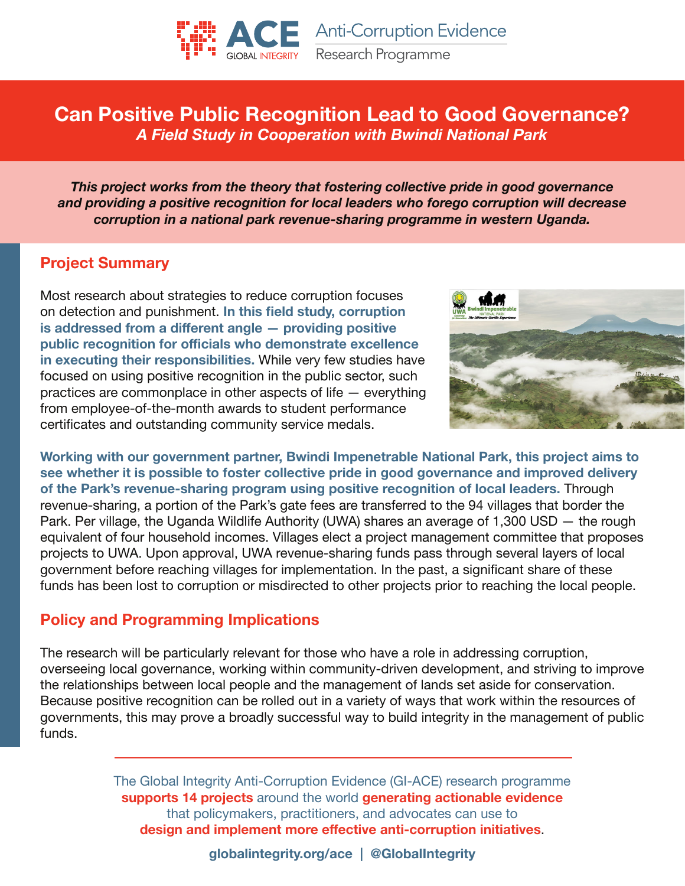

**Can Positive Public Recognition Lead to Good Governance?** *A Field Study in Cooperation with Bwindi National Park*

*This project works from the theory that fostering collective pride in good governance and providing a positive recognition for local leaders who forego corruption will decrease corruption in a national park revenue-sharing programme in western Uganda.* 

#### **Project Summary**

Most research about strategies to reduce corruption focuses on detection and punishment. **In this field study, corruption is addressed from a different angle — providing positive public recognition for officials who demonstrate excellence in executing their responsibilities.** While very few studies have focused on using positive recognition in the public sector, such practices are commonplace in other aspects of life — everything from employee-of-the-month awards to student performance certificates and outstanding community service medals.



**Working with our government partner, Bwindi Impenetrable National Park, this project aims to see whether it is possible to foster collective pride in good governance and improved delivery of the Park's revenue-sharing program using positive recognition of local leaders.** Through revenue-sharing, a portion of the Park's gate fees are transferred to the 94 villages that border the Park. Per village, the Uganda Wildlife Authority (UWA) shares an average of 1,300 USD — the rough equivalent of four household incomes. Villages elect a project management committee that proposes projects to UWA. Upon approval, UWA revenue-sharing funds pass through several layers of local government before reaching villages for implementation. In the past, a significant share of these funds has been lost to corruption or misdirected to other projects prior to reaching the local people.

#### **Policy and Programming Implications**

The research will be particularly relevant for those who have a role in addressing corruption, overseeing local governance, working within community-driven development, and striving to improve the relationships between local people and the management of lands set aside for conservation. Because positive recognition can be rolled out in a variety of ways that work within the resources of governments, this may prove a broadly successful way to build integrity in the management of public funds.

> The Global Integrity Anti-Corruption Evidence (GI-ACE) research programme **supports 14 projects** around the world **generating actionable evidence** that policymakers, practitioners, and advocates can use to **design and implement more effective anti-corruption initiatives**.